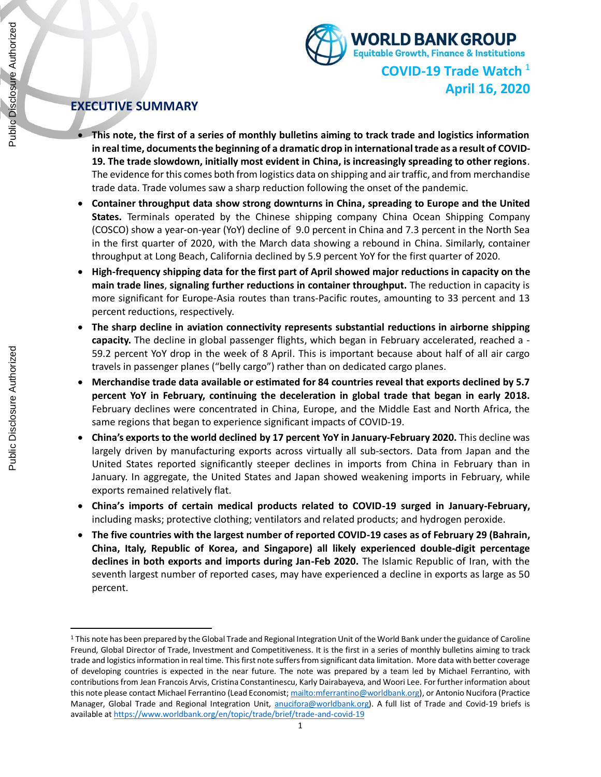

**April 16, 2020**

# **EXECUTIVE SUMMARY**

- **This note, the first of a series of monthly bulletins aiming to track trade and logistics information in real time, documents the beginning of a dramatic drop in international trade as a result of COVID-19. The trade slowdown, initially most evident in China, is increasingly spreading to other regions**. The evidence for this comes both from logistics data on shipping and air traffic, and from merchandise trade data. Trade volumes saw a sharp reduction following the onset of the pandemic.
- **Container throughput data show strong downturns in China, spreading to Europe and the United States.** Terminals operated by the Chinese shipping company China Ocean Shipping Company (COSCO) show a year-on-year (YoY) decline of 9.0 percent in China and 7.3 percent in the North Sea in the first quarter of 2020, with the March data showing a rebound in China. Similarly, container throughput at Long Beach, California declined by 5.9 percent YoY for the first quarter of 2020.
- **High-frequency shipping data for the first part of April showed major reductions in capacity on the main trade lines**, **signaling further reductions in container throughput.** The reduction in capacity is more significant for Europe-Asia routes than trans-Pacific routes, amounting to 33 percent and 13 percent reductions, respectively.
- **The sharp decline in aviation connectivity represents substantial reductions in airborne shipping capacity.** The decline in global passenger flights, which began in February accelerated, reached a - 59.2 percent YoY drop in the week of 8 April. This is important because about half of all air cargo travels in passenger planes ("belly cargo") rather than on dedicated cargo planes.
- **Merchandise trade data available or estimated for 84 countries reveal that exports declined by 5.7 percent YoY in February, continuing the deceleration in global trade that began in early 2018.**  February declines were concentrated in China, Europe, and the Middle East and North Africa, the same regions that began to experience significant impacts of COVID-19.
- **China's exports to the world declined by 17 percent YoY in January-February 2020.** This decline was largely driven by manufacturing exports across virtually all sub-sectors. Data from Japan and the United States reported significantly steeper declines in imports from China in February than in January. In aggregate, the United States and Japan showed weakening imports in February, while exports remained relatively flat.
- **China's imports of certain medical products related to COVID-19 surged in January-February,**  including masks; protective clothing; ventilators and related products; and hydrogen peroxide.
- **The five countries with the largest number of reported COVID-19 cases as of February 29 (Bahrain, China, Italy, Republic of Korea, and Singapore) all likely experienced double-digit percentage declines in both exports and imports during Jan-Feb 2020.** The Islamic Republic of Iran, with the seventh largest number of reported cases, may have experienced a decline in exports as large as 50 percent.

<sup>&</sup>lt;sup>1</sup> This note has been prepared by the Global Trade and Regional Integration Unit of the World Bank under the guidance of Caroline Freund, Global Director of Trade, Investment and Competitiveness. It is the first in a series of monthly bulletins aiming to track trade and logistics information in real time. This first note suffers from significant data limitation. More data with better coverage of developing countries is expected in the near future. The note was prepared by a team led by Michael Ferrantino, with contributions from Jean Francois Arvis, Cristina Constantinescu, Karly Dairabayeva, and Woori Lee. For further information about this note please contact Michael Ferrantino (Lead Economist[; mailto:mferrantino@worldbank.org\)](mailto:mferrantino@worldbank.org), or Antonio Nucifora (Practice Manager, Global Trade and Regional Integration Unit, [anucifora@worldbank.org\)](mailto:anucifora@worldbank.org). A full list of Trade and Covid-19 briefs is available at<https://www.worldbank.org/en/topic/trade/brief/trade-and-covid-19>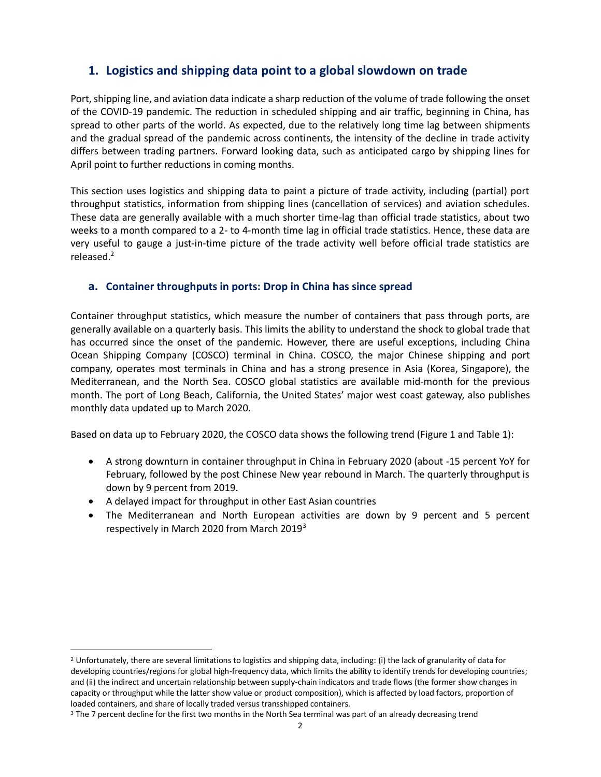# **1. Logistics and shipping data point to a global slowdown on trade**

Port, shipping line, and aviation data indicate a sharp reduction of the volume of trade following the onset of the COVID-19 pandemic. The reduction in scheduled shipping and air traffic, beginning in China, has spread to other parts of the world. As expected, due to the relatively long time lag between shipments and the gradual spread of the pandemic across continents, the intensity of the decline in trade activity differs between trading partners. Forward looking data, such as anticipated cargo by shipping lines for April point to further reductions in coming months.

This section uses logistics and shipping data to paint a picture of trade activity, including (partial) port throughput statistics, information from shipping lines (cancellation of services) and aviation schedules. These data are generally available with a much shorter time-lag than official trade statistics, about two weeks to a month compared to a 2- to 4-month time lag in official trade statistics. Hence, these data are very useful to gauge a just-in-time picture of the trade activity well before official trade statistics are released.<sup>2</sup>

# **a. Container throughputs in ports: Drop in China has since spread**

Container throughput statistics, which measure the number of containers that pass through ports, are generally available on a quarterly basis. This limits the ability to understand the shock to global trade that has occurred since the onset of the pandemic. However, there are useful exceptions, including China Ocean Shipping Company (COSCO) terminal in China. COSCO, the major Chinese shipping and port company, operates most terminals in China and has a strong presence in Asia (Korea, Singapore), the Mediterranean, and the North Sea. COSCO global statistics are available mid-month for the previous month. The port of Long Beach, California, the United States' major west coast gateway, also publishes monthly data updated up to March 2020.

Based on data up to February 2020, the COSCO data shows the following trend (Figure 1 and Table 1):

- A strong downturn in container throughput in China in February 2020 (about -15 percent YoY for February, followed by the post Chinese New year rebound in March. The quarterly throughput is down by 9 percent from 2019.
- A delayed impact for throughput in other East Asian countries
- The Mediterranean and North European activities are down by 9 percent and 5 percent respectively in March 2020 from March 2019<sup>3</sup>

<sup>2</sup> Unfortunately, there are several limitations to logistics and shipping data, including: (i) the lack of granularity of data for developing countries/regions for global high-frequency data, which limits the ability to identify trends for developing countries; and (ii) the indirect and uncertain relationship between supply-chain indicators and trade flows (the former show changes in capacity or throughput while the latter show value or product composition), which is affected by load factors, proportion of loaded containers, and share of locally traded versus transshipped containers.

<sup>&</sup>lt;sup>3</sup> The 7 percent decline for the first two months in the North Sea terminal was part of an already decreasing trend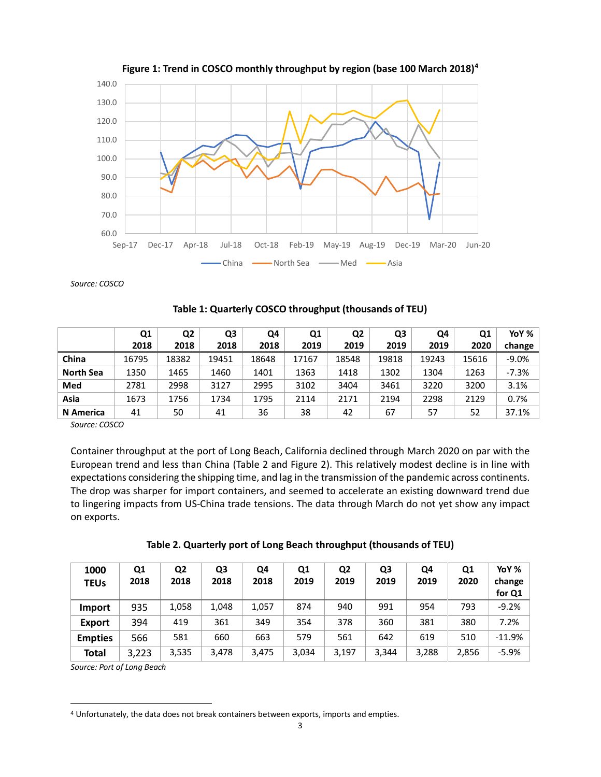



*Source: COSCO*

|                  | Q1    | Q <sub>2</sub> | Q <sub>3</sub> | Q4    | Q1    | Q <sub>2</sub> | Q <sub>3</sub> | Q4    | Q1    | YoY % $\vert$ |
|------------------|-------|----------------|----------------|-------|-------|----------------|----------------|-------|-------|---------------|
|                  | 2018  | 2018           | 2018           | 2018  | 2019  | 2019           | 2019           | 2019  | 2020  | change        |
| China            | 16795 | 18382          | 19451          | 18648 | 17167 | 18548          | 19818          | 19243 | 15616 | $-9.0%$       |
| <b>North Sea</b> | 1350  | 1465           | 1460           | 1401  | 1363  | 1418           | 1302           | 1304  | 1263  | $-7.3%$       |
| Med              | 2781  | 2998           | 3127           | 2995  | 3102  | 3404           | 3461           | 3220  | 3200  | 3.1%          |
| Asia             | 1673  | 1756           | 1734           | 1795  | 2114  | 2171           | 2194           | 2298  | 2129  | 0.7%          |
| N America        | 41    | 50             | 41             | 36    | 38    | 42             | 67             | 57    | 52    | 37.1%         |

*Source: COSCO*

Container throughput at the port of Long Beach, California declined through March 2020 on par with the European trend and less than China (Table 2 and Figure 2). This relatively modest decline is in line with expectations considering the shipping time, and lag in the transmission of the pandemic across continents. The drop was sharper for import containers, and seemed to accelerate an existing downward trend due to lingering impacts from US-China trade tensions. The data through March do not yet show any impact on exports.

| 1000<br><b>TEUs</b> | Q1<br>2018 | Q <sub>2</sub><br>2018 | Q3<br>2018 | Q4<br>2018 | Q1<br>2019 | Q <sub>2</sub><br>2019 | Q3<br>2019 | Q4<br>2019 | Q1<br>2020 | YoY %<br>change<br>for Q1 |
|---------------------|------------|------------------------|------------|------------|------------|------------------------|------------|------------|------------|---------------------------|
| <b>Import</b>       | 935        | 1,058                  | 1,048      | 1,057      | 874        | 940                    | 991        | 954        | 793        | $-9.2%$                   |
| <b>Export</b>       | 394        | 419                    | 361        | 349        | 354        | 378                    | 360        | 381        | 380        | 7.2%                      |
| <b>Empties</b>      | 566        | 581                    | 660        | 663        | 579        | 561                    | 642        | 619        | 510        | $-11.9%$                  |
| Total               | 3,223      | 3,535                  | 3,478      | 3,475      | 3,034      | 3,197                  | 3,344      | 3,288      | 2,856      | $-5.9%$                   |

*Source: Port of Long Beach*

<sup>4</sup> Unfortunately, the data does not break containers between exports, imports and empties.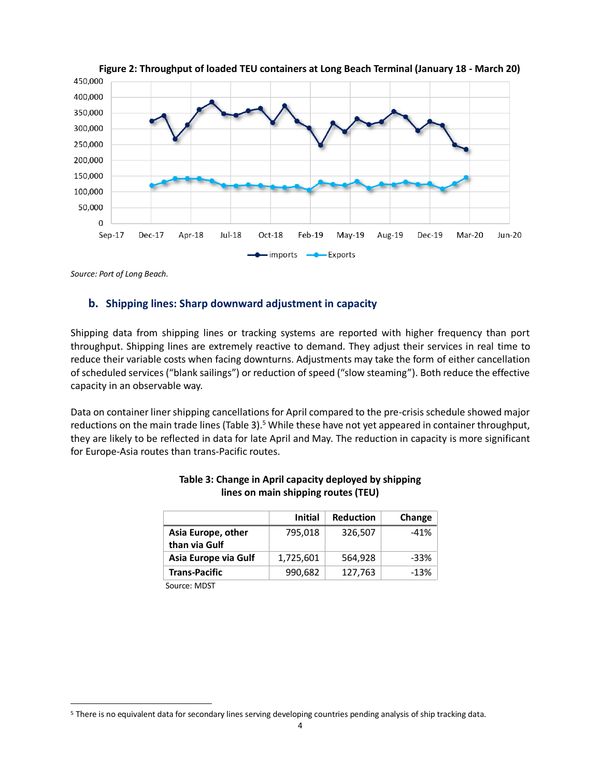

*Source: Port of Long Beach.*

## **b. Shipping lines: Sharp downward adjustment in capacity**

Shipping data from shipping lines or tracking systems are reported with higher frequency than port throughput. Shipping lines are extremely reactive to demand. They adjust their services in real time to reduce their variable costs when facing downturns. Adjustments may take the form of either cancellation of scheduled services ("blank sailings") or reduction of speed ("slow steaming"). Both reduce the effective capacity in an observable way.

Data on container liner shipping cancellations for April compared to the pre-crisis schedule showed major reductions on the main trade lines (Table 3).<sup>5</sup> While these have not yet appeared in container throughput, they are likely to be reflected in data for late April and May. The reduction in capacity is more significant for Europe-Asia routes than trans-Pacific routes.

|                      | <b>Initial</b> | <b>Reduction</b> | Change |
|----------------------|----------------|------------------|--------|
| Asia Europe, other   | 795,018        | 326,507          | $-41%$ |
| than via Gulf        |                |                  |        |
| Asia Europe via Gulf | 1,725,601      | 564,928          | -33%   |
| <b>Trans-Pacific</b> | 990,682        | 127,763          | $-13%$ |
| $\sim$ $\sim$ $\sim$ |                |                  |        |

### **Table 3: Change in April capacity deployed by shipping lines on main shipping routes (TEU)**

Source: MDST

<sup>5</sup> There is no equivalent data for secondary lines serving developing countries pending analysis of ship tracking data.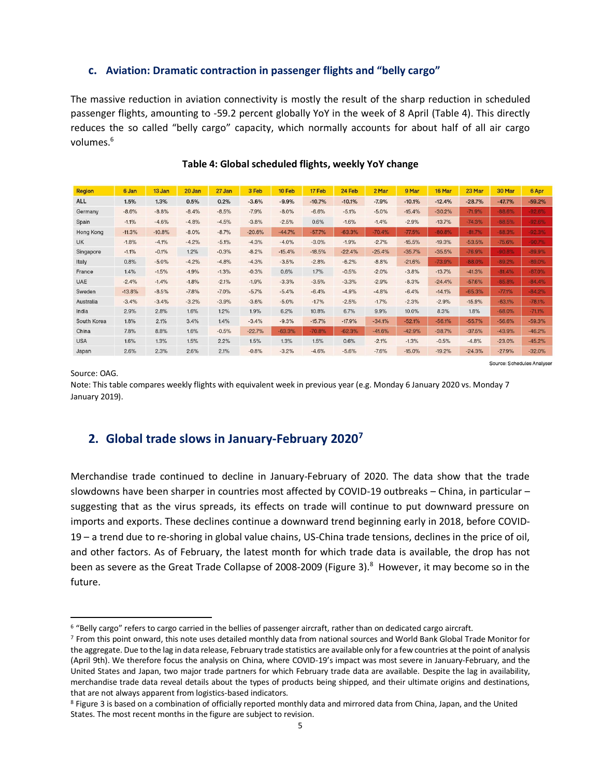## **c. Aviation: Dramatic contraction in passenger flights and "belly cargo"**

The massive reduction in aviation connectivity is mostly the result of the sharp reduction in scheduled passenger flights, amounting to -59.2 percent globally YoY in the week of 8 April (Table 4). This directly reduces the so called "belly cargo" capacity, which normally accounts for about half of all air cargo volumes. 6

| <b>Region</b> | 6 Jan    | 13 Jan   | 20 Jan  | 27 Jan  | 3 Feb    | 10 Feb   | 17 Feb   | 24 Feb   | 2 Mar    | 9 Mar    | 16 Mar   | 23 Mar   | 30 Mar   | 6 Apr    |
|---------------|----------|----------|---------|---------|----------|----------|----------|----------|----------|----------|----------|----------|----------|----------|
| <b>ALL</b>    | 1.5%     | 1.3%     | 0.5%    | 0.2%    | $-3.6%$  | $-9.9%$  | $-10.7%$ | $-10.1%$ | $-7.9%$  | $-10.1%$ | $-12.4%$ | $-28.7%$ | $-47.7%$ | $-59.2%$ |
| Germany       | $-8.6%$  | $-8.8%$  | $-8.4%$ | $-8.5%$ | $-7.9%$  | $-8.0%$  | $-6.6%$  | $-5.1%$  | $-5.0%$  | $-15.4%$ | $-30.2%$ | $-71.9%$ | $-88.6%$ | 92.6%    |
| Spain         | $-1.1%$  | $-4.6%$  | $-4.8%$ | $-4.5%$ | $-3.8%$  | $-2.5%$  | 0.6%     | $-1.6%$  | $-1.4%$  | $-2.9%$  | $-13.7%$ | $-74.3%$ | $-88.5%$ | 92.6%    |
| Hong Kong     | $-11.3%$ | $-10.8%$ | $-8.0%$ | $-8.7%$ | $-20.6%$ | $-44.7%$ | $-57.7%$ | $-63.3%$ | $-70.4%$ | $-77.5%$ | $-80.8%$ | $-81.7%$ | 88.3%    | 92.3%    |
| <b>UK</b>     | $-1.8%$  | $-4.1%$  | $-4.2%$ | $-5.1%$ | $-4.3%$  | $-4.0%$  | $-3.0%$  | $-1.9%$  | $-2.7%$  | $-15.5%$ | $-19.3%$ | $-53.5%$ | $-75.6%$ | 90.7%    |
| Singapore     | $-1.1%$  | $-0.1%$  | 1.2%    | $-0.3%$ | $-8.2%$  | $-15.4%$ | $-18.5%$ | $-22.4%$ | $-25.4%$ | $-35.7%$ | $-35.5%$ | $-76.9%$ | 90.8%    | 89.9%    |
| Italy         | 0.8%     | $-5.0%$  | $-4.2%$ | $-4.8%$ | $-4.3%$  | $-3.5%$  | $-2.8%$  | $-6.2%$  | $-8.8%$  | $-21.6%$ | $-73.9%$ | $-88.0%$ | $-89.2%$ | $-89.0%$ |
| France        | 1.4%     | $-1.5%$  | $-1.9%$ | $-1.3%$ | $-0.3%$  | 0.6%     | 1.7%     | $-0.5%$  | $-2.0%$  | $-3.8%$  | $-13.7%$ | $-41.3%$ | $-81.4%$ | 87.0%    |
| <b>UAE</b>    | $-2.4%$  | $-1.4%$  | $-1.8%$ | $-2.1%$ | $-1.9%$  | $-3.3%$  | $-3.5%$  | $-3.3%$  | $-2.9%$  | $-8.3%$  | $-24.4%$ | $-57.6%$ | $-85.8%$ | $-84.4%$ |
| Sweden        | $-13.8%$ | $-8.5%$  | $-7.8%$ | $-7.0%$ | $-5.7%$  | $-5.4%$  | $-6.4%$  | $-4.9%$  | $-4.8%$  | $-6.4%$  | $-14.1%$ | $-65.3%$ | $-77.1%$ | $-84.2%$ |
| Australia     | $-3.4%$  | $-3.4%$  | $-3.2%$ | $-3.9%$ | $-3.6%$  | $-5.0%$  | $-1.7%$  | $-2.5%$  | $-1.7%$  | $-2.3%$  | $-2.9%$  | $-15.9%$ | $-63.1%$ | $-78.1%$ |
| India         | 2.9%     | 2.8%     | 1.6%    | 1.2%    | 1.9%     | 6.2%     | 10.8%    | 6.7%     | 9.9%     | 10.0%    | 8.3%     | 1.8%     | $-68.0%$ | $-71.1%$ |
| South Korea   | 1.8%     | 2.1%     | 3.4%    | 1.4%    | $-3.4%$  | $-9.3%$  | $-15.7%$ | $-17.9%$ | $-34.1%$ | $-52.1%$ | $-56.1%$ | $-55.7%$ | $-56.6%$ | $-59.3%$ |
| China         | 7.8%     | 8.8%     | 1.6%    | $-0.5%$ | $-22.7%$ | $-63.3%$ | $-70.8%$ | $-62.3%$ | $-41.6%$ | $-42.9%$ | $-38.7%$ | $-37.5%$ | $-43.9%$ | $-46.2%$ |
| <b>USA</b>    | 1.6%     | 1.3%     | 1.5%    | 2.2%    | 1.5%     | 1.3%     | 1.5%     | 0.6%     | $-2.1%$  | $-1.3%$  | $-0.5%$  | $-4.8%$  | $-23.0%$ | $-45.2%$ |
| Japan         | 2.6%     | 2.3%     | 2.6%    | 2.1%    | $-0.8%$  | $-3.2%$  | $-4.6%$  | $-5.6%$  | $-7.6%$  | $-15.0%$ | $-19.2%$ | $-24.3%$ | $-27.9%$ | $-32.0%$ |

Source: Schedules Analyser

## **Table 4: Global scheduled flights, weekly YoY change**

Source: OAG.

Note: This table compares weekly flights with equivalent week in previous year (e.g. Monday 6 January 2020 vs. Monday 7 January 2019).

# **2. Global trade slows in January-February 2020<sup>7</sup>**

Merchandise trade continued to decline in January-February of 2020. The data show that the trade slowdowns have been sharper in countries most affected by COVID-19 outbreaks – China, in particular – suggesting that as the virus spreads, its effects on trade will continue to put downward pressure on imports and exports. These declines continue a downward trend beginning early in 2018, before COVID-19 – a trend due to re-shoring in global value chains, US-China trade tensions, declines in the price of oil, and other factors. As of February, the latest month for which trade data is available, the drop has not been as severe as the Great Trade Collapse of 2008-2009 (Figure 3). <sup>8</sup> However, it may become so in the future.

<sup>6</sup> "Belly cargo" refers to cargo carried in the bellies of passenger aircraft, rather than on dedicated cargo aircraft.

<sup>7</sup> From this point onward, this note uses detailed monthly data from national sources and World Bank Global Trade Monitor for the aggregate. Due to the lag in data release, February trade statistics are available only for a few countries at the point of analysis (April 9th). We therefore focus the analysis on China, where COVID-19's impact was most severe in January-February, and the United States and Japan, two major trade partners for which February trade data are available. Despite the lag in availability, merchandise trade data reveal details about the types of products being shipped, and their ultimate origins and destinations, that are not always apparent from logistics-based indicators.

<sup>8</sup> Figure 3 is based on a combination of officially reported monthly data and mirrored data from China, Japan, and the United States. The most recent months in the figure are subject to revision.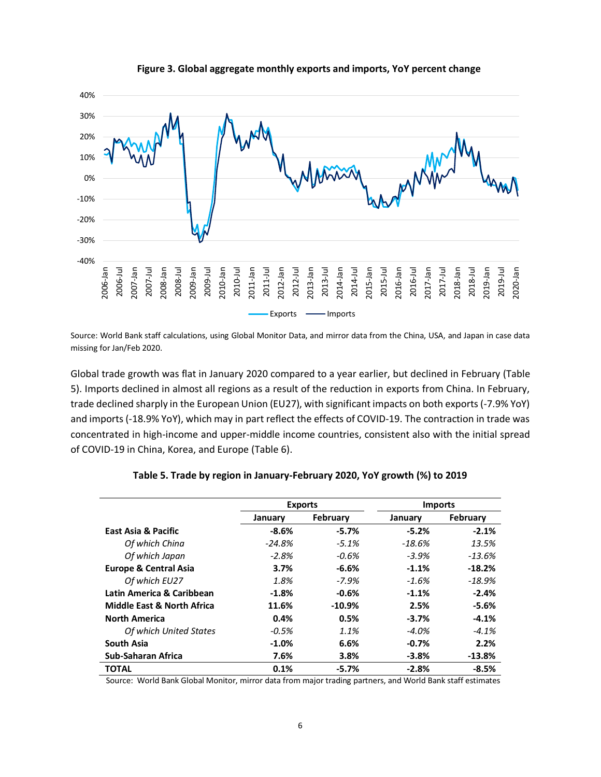

#### **Figure 3. Global aggregate monthly exports and imports, YoY percent change**

Source: World Bank staff calculations, using Global Monitor Data, and mirror data from the China, USA, and Japan in case data missing for Jan/Feb 2020.

Global trade growth was flat in January 2020 compared to a year earlier, but declined in February (Table 5). Imports declined in almost all regions as a result of the reduction in exports from China. In February, trade declined sharply in the European Union (EU27), with significant impacts on both exports (-7.9% YoY) and imports (-18.9% YoY), which may in part reflect the effects of COVID-19. The contraction in trade was concentrated in high-income and upper-middle income countries, consistent also with the initial spread of COVID-19 in China, Korea, and Europe (Table 6).

|                                       | <b>Exports</b> |           | <b>Imports</b> |          |
|---------------------------------------|----------------|-----------|----------------|----------|
|                                       | January        | February  | January        | February |
| East Asia & Pacific                   | $-8.6%$        | $-5.7%$   | $-5.2\%$       | $-2.1%$  |
| Of which China                        | -24.8%         | $-5.1%$   | -18.6%         | 13.5%    |
| Of which Japan                        | $-2.8\%$       | -0.6%     | -3.9%          | $-13.6%$ |
| <b>Europe &amp; Central Asia</b>      | 3.7%           | -6.6%     | $-1.1\%$       | $-18.2%$ |
| Of which EU27                         | 1.8%           | $-7.9\%$  | $-1.6\%$       | $-18.9%$ |
| Latin America & Caribbean             | $-1.8%$        | $-0.6%$   | $-1.1\%$       | $-2.4%$  |
| <b>Middle East &amp; North Africa</b> | 11.6%          | $-10.9\%$ | 2.5%           | -5.6%    |
| <b>North America</b>                  | 0.4%           | 0.5%      | $-3.7\%$       | $-4.1%$  |
| Of which United States                | $-0.5%$        | 1.1%      | -4.0%          | $-4.1%$  |
| <b>South Asia</b>                     | $-1.0\%$       | 6.6%      | $-0.7\%$       | 2.2%     |
| Sub-Saharan Africa                    | 7.6%           | 3.8%      | $-3.8%$        | $-13.8%$ |
| <b>TOTAL</b>                          | 0.1%           | $-5.7%$   | $-2.8%$        | $-8.5%$  |

#### **Table 5. Trade by region in January-February 2020, YoY growth (%) to 2019**

Source: World Bank Global Monitor, mirror data from major trading partners, and World Bank staff estimates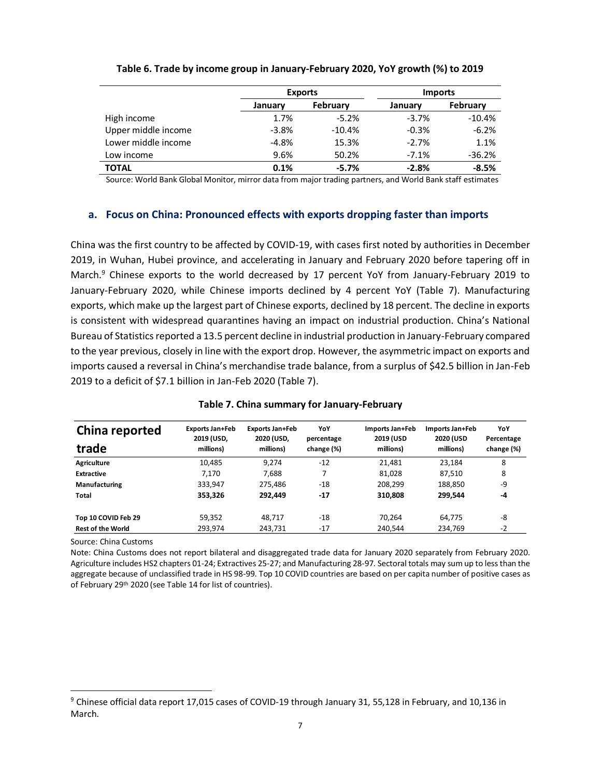|                     |                     | <b>Exports</b> | <b>Imports</b> |          |  |
|---------------------|---------------------|----------------|----------------|----------|--|
|                     | February<br>January |                | January        | February |  |
| High income         | 1.7%                | $-5.2%$        | $-3.7%$        | $-10.4%$ |  |
| Upper middle income | $-3.8%$             | $-10.4%$       | $-0.3%$        | $-6.2%$  |  |
| Lower middle income | $-4.8%$             | 15.3%          | $-2.7%$        | 1.1%     |  |
| Low income          | 9.6%                | 50.2%          | $-7.1%$        | $-36.2%$ |  |
| <b>TOTAL</b>        | 0.1%                | $-5.7%$        | $-2.8%$        | $-8.5%$  |  |

### **Table 6. Trade by income group in January-February 2020, YoY growth (%) to 2019**

Source: World Bank Global Monitor, mirror data from major trading partners, and World Bank staff estimates

### **a. Focus on China: Pronounced effects with exports dropping faster than imports**

China was the first country to be affected by COVID-19, with cases first noted by authorities in December 2019, in Wuhan, Hubei province, and accelerating in January and February 2020 before tapering off in March.<sup>9</sup> Chinese exports to the world decreased by 17 percent YoY from January-February 2019 to January-February 2020, while Chinese imports declined by 4 percent YoY (Table 7). Manufacturing exports, which make up the largest part of Chinese exports, declined by 18 percent. The decline in exports is consistent with widespread quarantines having an impact on industrial production. China's National Bureau of Statistics reported a 13.5 percent decline in industrial production in January-February compared to the year previous, closely in line with the export drop. However, the asymmetric impact on exports and imports caused a reversal in China's merchandise trade balance, from a surplus of \$42.5 billion in Jan-Feb 2019 to a deficit of \$7.1 billion in Jan-Feb 2020 (Table 7).

| China reported                                                                                                                                                                                            | <b>Exports Jan+Feb</b><br>2019 (USD, | <b>Exports Jan+Feb</b><br>2020 (USD, | YoY<br>percentage | Imports Jan+Feb<br>2019 (USD | Imports Jan+Feb<br>2020 (USD | YoY<br>Percentage |
|-----------------------------------------------------------------------------------------------------------------------------------------------------------------------------------------------------------|--------------------------------------|--------------------------------------|-------------------|------------------------------|------------------------------|-------------------|
| trade                                                                                                                                                                                                     | millions)                            | millions)                            | change (%)        | millions)                    | millions)                    | change (%)        |
| Agriculture                                                                                                                                                                                               | 10,485                               | 9,274                                | $-12$             | 21,481                       | 23,184                       | 8                 |
| <b>Extractive</b>                                                                                                                                                                                         | 7,170                                | 7,688                                | 7                 | 81,028                       | 87,510                       | 8                 |
| Manufacturing                                                                                                                                                                                             | 333,947                              | 275,486                              | $-18$             | 208,299                      | 188.850                      | -9                |
| <b>Total</b>                                                                                                                                                                                              | 353,326                              | 292,449                              | $-17$             | 310,808                      | 299,544                      | $-4$              |
| Top 10 COVID Feb 29                                                                                                                                                                                       | 59,352                               | 48,717                               | $-18$             | 70,264                       | 64,775                       | -8                |
| <b>Rest of the World</b>                                                                                                                                                                                  | 293,974                              | 243,731                              | $-17$             | 240,544                      | 234,769                      | $-2$              |
| aggregate because of unclassified trade in HS 98-99. Top 10 COVID countries are based on per capita number of positive cases a<br>of February 29 <sup>th</sup> 2020 (see Table 14 for list of countries). |                                      |                                      |                   |                              |                              |                   |
| $^9$ Chinese official data report 17,015 cases of COVID-19 through January 31, 55,128 in February, and 10,136 in<br>March.                                                                                |                                      |                                      |                   |                              |                              |                   |

#### **Table 7. China summary for January-February**

<sup>9</sup> Chinese official data report 17,015 cases of COVID-19 through January 31, 55,128 in February, and 10,136 in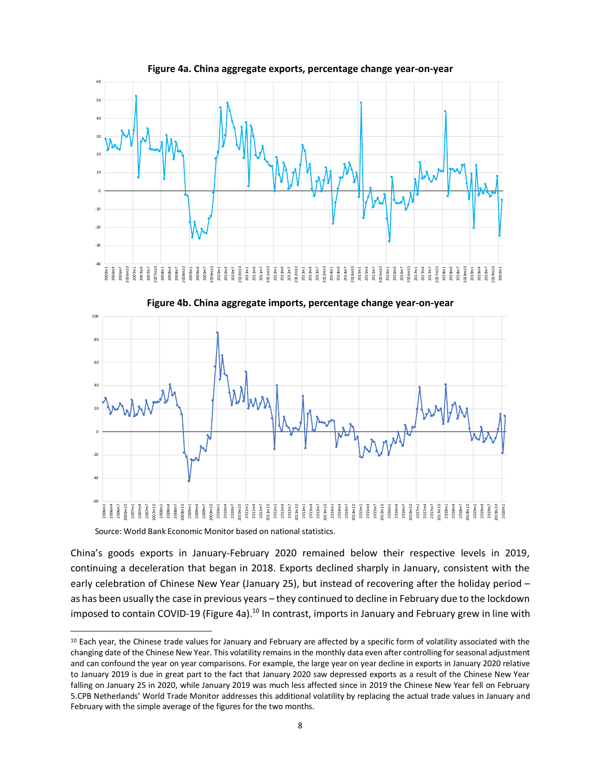

China's goods exports in January-February 2020 remained below their respective levels in 2019, continuing a deceleration that began in 2018. Exports declined sharply in January, consistent with the early celebration of Chinese New Year (January 25), but instead of recovering after the holiday period – as has been usually the case in previous years – they continued to decline in February due to the lockdown imposed to contain COVID-19 (Figure 4a).<sup>10</sup> In contrast, imports in January and February grew in line with

<sup>&</sup>lt;sup>10</sup> Each year, the Chinese trade values for January and February are affected by a specific form of volatility associated with the changing date of the Chinese New Year. This volatility remains in the monthly data even after controlling for seasonal adjustment and can confound the year on year comparisons. For example, the large year on year decline in exports in January 2020 relative to January 2019 is due in great part to the fact that January 2020 saw depressed exports as a result of the Chinese New Year falling on January 25 in 2020, while January 2019 was much less affected since in 2019 the Chinese New Year fell on February 5.CPB Netherlands' World Trade Monitor addresses this additional volatility by replacing the actual trade values in January and February with the simple average of the figures for the two months.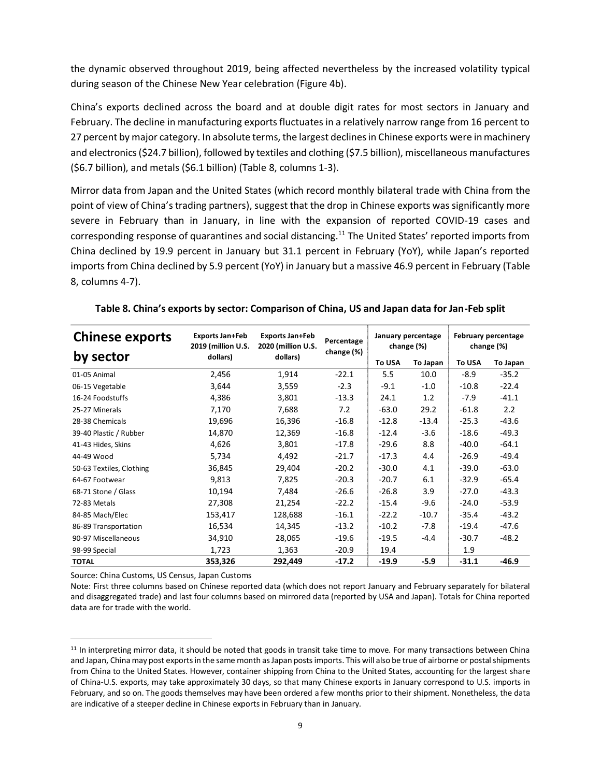the dynamic observed throughout 2019, being affected nevertheless by the increased volatility typical during season of the Chinese New Year celebration (Figure 4b).

China's exports declined across the board and at double digit rates for most sectors in January and February. The decline in manufacturing exports fluctuates in a relatively narrow range from 16 percent to 27 percent by major category. In absolute terms, the largest declines in Chinese exports were in machinery and electronics (\$24.7 billion), followed by textiles and clothing (\$7.5 billion), miscellaneous manufactures (\$6.7 billion), and metals (\$6.1 billion) (Table 8, columns 1-3).

Mirror data from Japan and the United States (which record monthly bilateral trade with China from the point of view of China's trading partners), suggest that the drop in Chinese exports was significantly more severe in February than in January, in line with the expansion of reported COVID-19 cases and corresponding response of quarantines and social distancing.<sup>11</sup> The United States' reported imports from China declined by 19.9 percent in January but 31.1 percent in February (YoY), while Japan's reported imports from China declined by 5.9 percent (YoY) in January but a massive 46.9 percent in February (Table 8, columns 4-7).

| <b>Chinese exports</b>   | <b>Exports Jan+Feb</b><br>2019 (million U.S. | <b>Exports Jan+Feb</b><br>2020 (million U.S.<br>dollars) | Percentage |               | January percentage<br>change (%) | February percentage<br>change (%) |          |
|--------------------------|----------------------------------------------|----------------------------------------------------------|------------|---------------|----------------------------------|-----------------------------------|----------|
| by sector                | dollars)                                     |                                                          | change (%) | <b>To USA</b> | To Japan                         | To USA                            | To Japan |
| 01-05 Animal             | 2,456                                        | 1,914                                                    | $-22.1$    | 5.5           | 10.0                             | $-8.9$                            | $-35.2$  |
| 06-15 Vegetable          | 3,644                                        | 3,559                                                    | $-2.3$     | $-9.1$        | $-1.0$                           | $-10.8$                           | $-22.4$  |
| 16-24 Foodstuffs         | 4,386                                        | 3,801                                                    | $-13.3$    | 24.1          | 1.2                              | -7.9                              | $-41.1$  |
| 25-27 Minerals           | 7,170                                        | 7,688                                                    | 7.2        | $-63.0$       | 29.2                             | $-61.8$                           | 2.2      |
| 28-38 Chemicals          | 19,696                                       | 16,396                                                   | $-16.8$    | $-12.8$       | $-13.4$                          | $-25.3$                           | $-43.6$  |
| 39-40 Plastic / Rubber   | 14,870                                       | 12,369                                                   | $-16.8$    | $-12.4$       | $-3.6$                           | $-18.6$                           | $-49.3$  |
| 41-43 Hides, Skins       | 4,626                                        | 3,801                                                    | $-17.8$    | $-29.6$       | 8.8                              | $-40.0$                           | $-64.1$  |
| 44-49 Wood               | 5,734                                        | 4,492                                                    | $-21.7$    | $-17.3$       | 4.4                              | $-26.9$                           | $-49.4$  |
| 50-63 Textiles, Clothing | 36,845                                       | 29,404                                                   | $-20.2$    | $-30.0$       | 4.1                              | $-39.0$                           | $-63.0$  |
| 64-67 Footwear           | 9,813                                        | 7,825                                                    | $-20.3$    | $-20.7$       | 6.1                              | $-32.9$                           | $-65.4$  |
| 68-71 Stone / Glass      | 10,194                                       | 7,484                                                    | $-26.6$    | $-26.8$       | 3.9                              | $-27.0$                           | $-43.3$  |
| 72-83 Metals             | 27,308                                       | 21,254                                                   | $-22.2$    | $-15.4$       | $-9.6$                           | $-24.0$                           | $-53.9$  |
| 84-85 Mach/Elec          | 153,417                                      | 128,688                                                  | $-16.1$    | $-22.2$       | $-10.7$                          | $-35.4$                           | $-43.2$  |
| 86-89 Transportation     | 16,534                                       | 14,345                                                   | $-13.2$    | $-10.2$       | $-7.8$                           | $-19.4$                           | $-47.6$  |
| 90-97 Miscellaneous      | 34,910                                       | 28,065                                                   | $-19.6$    | $-19.5$       | $-4.4$                           | $-30.7$                           | $-48.2$  |
| 98-99 Special            | 1,723                                        | 1,363                                                    | $-20.9$    | 19.4          |                                  | 1.9                               |          |
| <b>TOTAL</b>             | 353,326                                      | 292,449                                                  | $-17.2$    | $-19.9$       | $-5.9$                           | $-31.1$                           | $-46.9$  |

|  |  | Table 8. China's exports by sector: Comparison of China, US and Japan data for Jan-Feb split |
|--|--|----------------------------------------------------------------------------------------------|
|  |  |                                                                                              |

Source: China Customs, US Census, Japan Customs

Note: First three columns based on Chinese reported data (which does not report January and February separately for bilateral and disaggregated trade) and last four columns based on mirrored data (reported by USA and Japan). Totals for China reported data are for trade with the world.

 $11$  In interpreting mirror data, it should be noted that goods in transit take time to move. For many transactions between China and Japan, China may post exports in the same month as Japan posts imports. This will also be true of airborne or postal shipments from China to the United States. However, container shipping from China to the United States, accounting for the largest share of China-U.S. exports, may take approximately 30 days, so that many Chinese exports in January correspond to U.S. imports in February, and so on. The goods themselves may have been ordered a few months prior to their shipment. Nonetheless, the data are indicative of a steeper decline in Chinese exports in February than in January.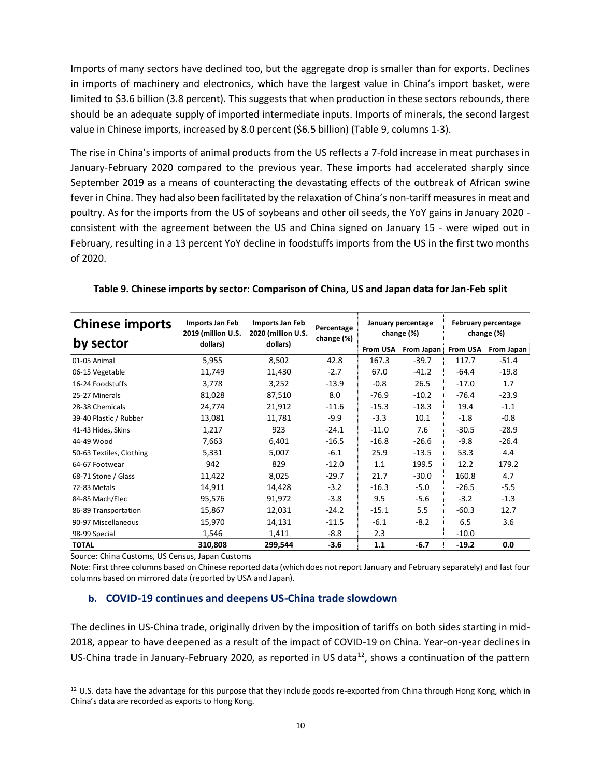Imports of many sectors have declined too, but the aggregate drop is smaller than for exports. Declines in imports of machinery and electronics, which have the largest value in China's import basket, were limited to \$3.6 billion (3.8 percent). This suggests that when production in these sectors rebounds, there should be an adequate supply of imported intermediate inputs. Imports of minerals, the second largest value in Chinese imports, increased by 8.0 percent (\$6.5 billion) (Table 9, columns 1-3).

The rise in China's imports of animal products from the US reflects a 7-fold increase in meat purchases in January-February 2020 compared to the previous year. These imports had accelerated sharply since September 2019 as a means of counteracting the devastating effects of the outbreak of African swine fever in China. They had also been facilitated by the relaxation of China's non-tariff measures in meat and poultry. As for the imports from the US of soybeans and other oil seeds, the YoY gains in January 2020 consistent with the agreement between the US and China signed on January 15 - were wiped out in February, resulting in a 13 percent YoY decline in foodstuffs imports from the US in the first two months of 2020.

| <b>Chinese imports</b>   | Imports Jan Feb<br>2019 (million U.S. | Imports Jan Feb<br>2020 (million U.S.<br>dollars) | Percentage<br>change (%) |          | January percentage<br>change (%) | February percentage<br>change (%) |            |
|--------------------------|---------------------------------------|---------------------------------------------------|--------------------------|----------|----------------------------------|-----------------------------------|------------|
| by sector                | dollars)                              |                                                   |                          | From USA | From Japan                       | <b>From USA</b>                   | From Japan |
| 01-05 Animal             | 5,955                                 | 8,502                                             | 42.8                     | 167.3    | $-39.7$                          | 117.7                             | $-51.4$    |
| 06-15 Vegetable          | 11,749                                | 11,430                                            | $-2.7$                   | 67.0     | $-41.2$                          | $-64.4$                           | $-19.8$    |
| 16-24 Foodstuffs         | 3,778                                 | 3,252                                             | $-13.9$                  | $-0.8$   | 26.5                             | $-17.0$                           | 1.7        |
| 25-27 Minerals           | 81,028                                | 87,510                                            | 8.0                      | $-76.9$  | $-10.2$                          | $-76.4$                           | $-23.9$    |
| 28-38 Chemicals          | 24,774                                | 21,912                                            | $-11.6$                  | $-15.3$  | $-18.3$                          | 19.4                              | $-1.1$     |
| 39-40 Plastic / Rubber   | 13,081                                | 11,781                                            | $-9.9$                   | $-3.3$   | 10.1                             | $-1.8$                            | $-0.8$     |
| 41-43 Hides, Skins       | 1,217                                 | 923                                               | $-24.1$                  | $-11.0$  | 7.6                              | $-30.5$                           | $-28.9$    |
| 44-49 Wood               | 7,663                                 | 6,401                                             | $-16.5$                  | $-16.8$  | $-26.6$                          | $-9.8$                            | $-26.4$    |
| 50-63 Textiles, Clothing | 5,331                                 | 5,007                                             | $-6.1$                   | 25.9     | $-13.5$                          | 53.3                              | 4.4        |
| 64-67 Footwear           | 942                                   | 829                                               | $-12.0$                  | 1.1      | 199.5                            | 12.2                              | 179.2      |
| 68-71 Stone / Glass      | 11,422                                | 8,025                                             | $-29.7$                  | 21.7     | $-30.0$                          | 160.8                             | 4.7        |
| 72-83 Metals             | 14,911                                | 14,428                                            | $-3.2$                   | $-16.3$  | $-5.0$                           | $-26.5$                           | $-5.5$     |
| 84-85 Mach/Elec          | 95,576                                | 91,972                                            | $-3.8$                   | 9.5      | $-5.6$                           | $-3.2$                            | $-1.3$     |
| 86-89 Transportation     | 15,867                                | 12,031                                            | $-24.2$                  | $-15.1$  | 5.5                              | $-60.3$                           | 12.7       |
| 90-97 Miscellaneous      | 15,970                                | 14,131                                            | $-11.5$                  | $-6.1$   | $-8.2$                           | 6.5                               | 3.6        |
| 98-99 Special            | 1,546                                 | 1,411                                             | $-8.8$                   | 2.3      |                                  | $-10.0$                           |            |
| <b>TOTAL</b>             | 310,808                               | 299,544                                           | $-3.6$                   | 1.1      | $-6.7$                           | $-19.2$                           | 0.0        |

## **Table 9. Chinese imports by sector: Comparison of China, US and Japan data for Jan-Feb split**

Source: China Customs, US Census, Japan Customs

Note: First three columns based on Chinese reported data (which does not report January and February separately) and last four columns based on mirrored data (reported by USA and Japan).

# **b. COVID-19 continues and deepens US-China trade slowdown**

The declines in US-China trade, originally driven by the imposition of tariffs on both sides starting in mid-2018, appear to have deepened as a result of the impact of COVID-19 on China. Year-on-year declines in US-China trade in January-February 2020, as reported in US data<sup>12</sup>, shows a continuation of the pattern

<sup>12</sup> U.S. data have the advantage for this purpose that they include goods re-exported from China through Hong Kong, which in China's data are recorded as exports to Hong Kong.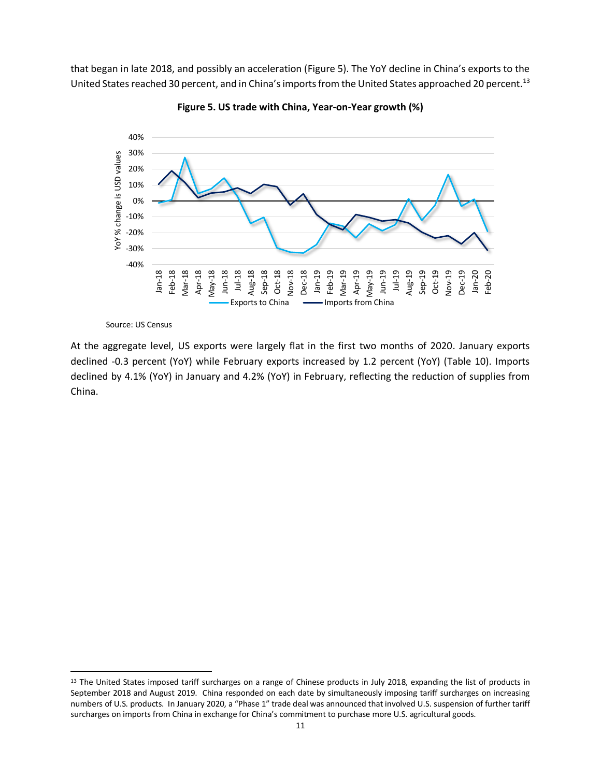that began in late 2018, and possibly an acceleration (Figure 5). The YoY decline in China's exports to the United States reached 30 percent, and in China's imports from the United States approached 20 percent.<sup>13</sup>



**Figure 5. US trade with China, Year-on-Year growth (%)**

Source: US Census

At the aggregate level, US exports were largely flat in the first two months of 2020. January exports declined -0.3 percent (YoY) while February exports increased by 1.2 percent (YoY) (Table 10). Imports declined by 4.1% (YoY) in January and 4.2% (YoY) in February, reflecting the reduction of supplies from China.

<sup>13</sup> The United States imposed tariff surcharges on a range of Chinese products in July 2018, expanding the list of products in September 2018 and August 2019. China responded on each date by simultaneously imposing tariff surcharges on increasing numbers of U.S. products. In January 2020, a "Phase 1" trade deal was announced that involved U.S. suspension of further tariff surcharges on imports from China in exchange for China's commitment to purchase more U.S. agricultural goods.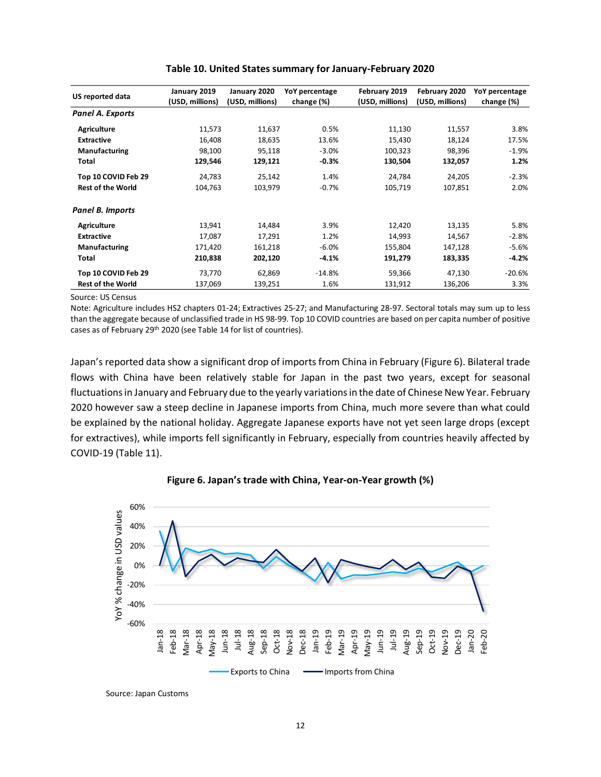| US reported data         | January 2019<br>(USD, millions) | January 2020<br>(USD, millions) | YoY percentage<br>change (%) | February 2019<br>(USD, millions) | February 2020<br>(USD, millions) | YoY percentage<br>change (%) |
|--------------------------|---------------------------------|---------------------------------|------------------------------|----------------------------------|----------------------------------|------------------------------|
| <b>Panel A. Exports</b>  |                                 |                                 |                              |                                  |                                  |                              |
| Agriculture              | 11,573                          | 11,637                          | 0.5%                         | 11,130                           | 11,557                           | 3.8%                         |
| <b>Extractive</b>        | 16,408                          | 18,635                          | 13.6%                        | 15,430                           | 18,124                           | 17.5%                        |
| Manufacturing            | 98,100                          | 95,118                          | $-3.0%$                      | 100,323                          | 98,396                           | $-1.9%$                      |
| <b>Total</b>             | 129,546                         | 129,121                         | $-0.3%$                      | 130,504                          | 132,057                          | 1.2%                         |
| Top 10 COVID Feb 29      | 24,783                          | 25,142                          | 1.4%                         | 24,784                           | 24,205                           | $-2.3%$                      |
| <b>Rest of the World</b> | 104,763                         | 103,979                         | $-0.7%$                      | 105,719                          | 107,851                          | 2.0%                         |
| <b>Panel B. Imports</b>  |                                 |                                 |                              |                                  |                                  |                              |
| Agriculture              | 13,941                          | 14,484                          | 3.9%                         | 12,420                           | 13,135                           | 5.8%                         |
| <b>Extractive</b>        | 17,087                          | 17,291                          | 1.2%                         | 14,993                           | 14,567                           | $-2.8%$                      |
| <b>Manufacturing</b>     | 171,420                         | 161,218                         | $-6.0%$                      | 155,804                          | 147,128                          | $-5.6%$                      |
| Total                    | 210,838                         | 202,120                         | $-4.1%$                      | 191,279                          | 183,335                          | $-4.2%$                      |
| Top 10 COVID Feb 29      | 73,770                          | 62,869                          | $-14.8%$                     | 59,366                           | 47,130                           | $-20.6%$                     |
| <b>Rest of the World</b> | 137,069                         | 139,251                         | 1.6%                         | 131,912                          | 136,206                          | 3.3%                         |

#### **Table 10. United States summary for January-February 2020**

Source: US Census

Note: Agriculture includes HS2 chapters 01-24; Extractives 25-27; and Manufacturing 28-97. Sectoral totals may sum up to less than the aggregate because of unclassified trade in HS 98-99. Top 10 COVID countries are based on per capita number of positive cases as of February 29<sup>th</sup> 2020 (see Table 14 for list of countries).

Japan's reported data show a significant drop of imports from China in February (Figure 6). Bilateral trade flows with China have been relatively stable for Japan in the past two years, except for seasonal fluctuations in January and February due to the yearly variations in the date of Chinese New Year. February 2020 however saw a steep decline in Japanese imports from China, much more severe than what could be explained by the national holiday. Aggregate Japanese exports have not yet seen large drops (except for extractives), while imports fell significantly in February, especially from countries heavily affected by COVID-19 (Table 11).





Source: Japan Customs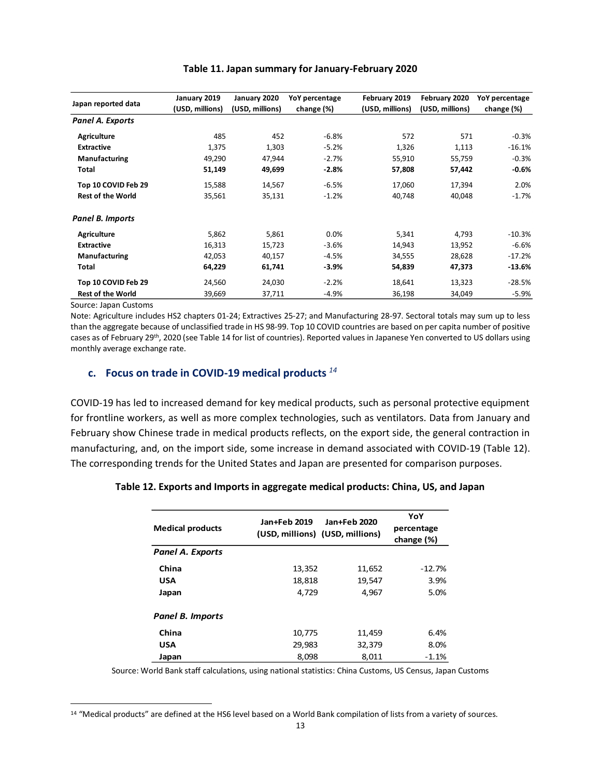| Japan reported data      | January 2019    | January 2020    | YoY percentage | February 2019   | February 2020   | YoY percentage |
|--------------------------|-----------------|-----------------|----------------|-----------------|-----------------|----------------|
|                          | (USD, millions) | (USD, millions) | change (%)     | (USD, millions) | (USD, millions) | change (%)     |
| Panel A. Exports         |                 |                 |                |                 |                 |                |
| <b>Agriculture</b>       | 485             | 452             | $-6.8%$        | 572             | 571             | $-0.3%$        |
| <b>Extractive</b>        | 1,375           | 1,303           | $-5.2%$        | 1,326           | 1,113           | $-16.1%$       |
| Manufacturing            | 49,290          | 47,944          | $-2.7%$        | 55,910          | 55,759          | $-0.3%$        |
| <b>Total</b>             | 51,149          | 49,699          | $-2.8%$        | 57,808          | 57,442          | $-0.6%$        |
| Top 10 COVID Feb 29      | 15,588          | 14,567          | $-6.5%$        | 17,060          | 17,394          | 2.0%           |
| <b>Rest of the World</b> | 35,561          | 35,131          | $-1.2%$        | 40,748          | 40,048          | $-1.7%$        |
| Panel B. Imports         |                 |                 |                |                 |                 |                |
| <b>Agriculture</b>       | 5,862           | 5,861           | 0.0%           | 5,341           | 4,793           | $-10.3%$       |
| <b>Extractive</b>        | 16,313          | 15,723          | $-3.6%$        | 14,943          | 13,952          | $-6.6%$        |
| Manufacturing            | 42,053          | 40,157          | $-4.5%$        | 34,555          | 28,628          | $-17.2%$       |
| Total                    | 64,229          | 61,741          | $-3.9%$        | 54,839          | 47,373          | $-13.6%$       |
| Top 10 COVID Feb 29      | 24,560          | 24,030          | $-2.2%$        | 18,641          | 13,323          | $-28.5%$       |
| <b>Rest of the World</b> | 39,669          | 37,711          | $-4.9%$        | 36,198          | 34,049          | $-5.9%$        |

#### **Table 11. Japan summary for January-February 2020**

Source: Japan Customs

Note: Agriculture includes HS2 chapters 01-24; Extractives 25-27; and Manufacturing 28-97. Sectoral totals may sum up to less than the aggregate because of unclassified trade in HS 98-99. Top 10 COVID countries are based on per capita number of positive cases as of February 29<sup>th</sup>, 2020 (see Table 14 for list of countries). Reported values in Japanese Yen converted to US dollars using monthly average exchange rate.

## **c. Focus on trade in COVID-19 medical products** *<sup>14</sup>*

COVID-19 has led to increased demand for key medical products, such as personal protective equipment for frontline workers, as well as more complex technologies, such as ventilators. Data from January and February show Chinese trade in medical products reflects, on the export side, the general contraction in manufacturing, and, on the import side, some increase in demand associated with COVID-19 (Table 12). The corresponding trends for the United States and Japan are presented for comparison purposes.

#### **Table 12. Exports and Imports in aggregate medical products: China, US, and Japan**

| <b>Medical products</b> | Jan+Feb 2019<br>(USD, millions) (USD, millions) | Jan+Feb 2020 | YoY<br>percentage<br>change (%) |
|-------------------------|-------------------------------------------------|--------------|---------------------------------|
| <b>Panel A. Exports</b> |                                                 |              |                                 |
| China                   | 13,352                                          | 11,652       | $-12.7%$                        |
| <b>USA</b>              | 18,818                                          | 19,547       | 3.9%                            |
| Japan                   | 4,729                                           | 4,967        | 5.0%                            |
| Panel B. Imports        |                                                 |              |                                 |
| China                   | 10,775                                          | 11,459       | 6.4%                            |
| <b>USA</b>              | 29,983                                          | 32,379       | 8.0%                            |
| Japan                   | 8,098                                           | 8,011        | $-1.1%$                         |

Source: World Bank staff calculations, using national statistics: China Customs, US Census, Japan Customs

<sup>14</sup> "Medical products" are defined at the HS6 level based on a World Bank compilation of lists from a variety of sources.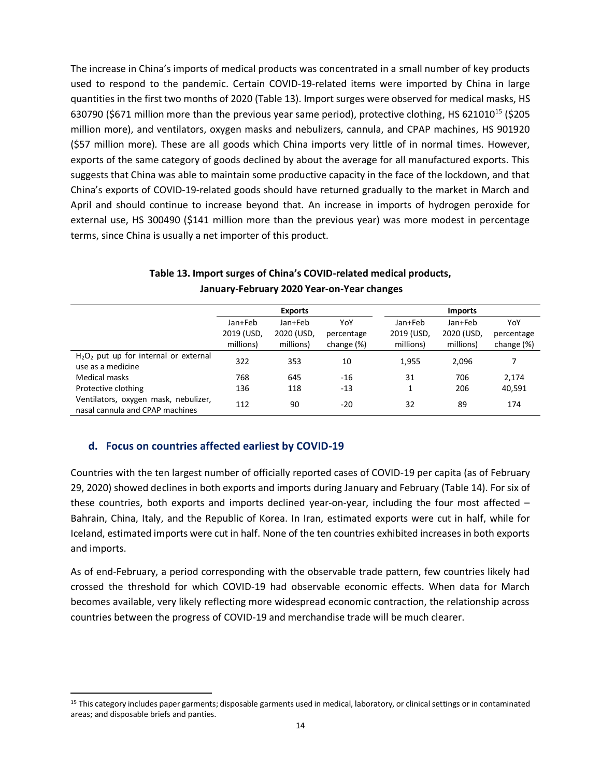The increase in China's imports of medical products was concentrated in a small number of key products used to respond to the pandemic. Certain COVID-19-related items were imported by China in large quantities in the first two months of 2020 (Table 13). Import surges were observed for medical masks, HS 630790 (\$671 million more than the previous year same period), protective clothing, HS 621010<sup>15</sup> (\$205 million more), and ventilators, oxygen masks and nebulizers, cannula, and CPAP machines, HS 901920 (\$57 million more). These are all goods which China imports very little of in normal times. However, exports of the same category of goods declined by about the average for all manufactured exports. This suggests that China was able to maintain some productive capacity in the face of the lockdown, and that China's exports of COVID-19-related goods should have returned gradually to the market in March and April and should continue to increase beyond that. An increase in imports of hydrogen peroxide for external use, HS 300490 (\$141 million more than the previous year) was more modest in percentage terms, since China is usually a net importer of this product.

|                                                                         | <b>Exports</b> |            |            | <b>Imports</b> |            |            |
|-------------------------------------------------------------------------|----------------|------------|------------|----------------|------------|------------|
|                                                                         | Jan+Feb        | Jan+Feb    | YoY        | Jan+Feb        | Jan+Feb    | YoY        |
|                                                                         | 2019 (USD,     | 2020 (USD, | percentage | 2019 (USD,     | 2020 (USD, | percentage |
|                                                                         | millions)      | millions)  | change (%) | millions)      | millions)  | change (%) |
| $H_2O_2$ put up for internal or external<br>use as a medicine           | 322            | 353        | 10         | 1,955          | 2,096      |            |
| Medical masks                                                           | 768            | 645        | $-16$      | 31             | 706        | 2.174      |
| Protective clothing                                                     | 136            | 118        | $-13$      | 1              | 206        | 40,591     |
| Ventilators, oxygen mask, nebulizer,<br>nasal cannula and CPAP machines | 112            | 90         | $-20$      | 32             | 89         | 174        |

## **Table 13. Import surges of China's COVID-related medical products, January-February 2020 Year-on-Year changes**

# **d. Focus on countries affected earliest by COVID-19**

Countries with the ten largest number of officially reported cases of COVID-19 per capita (as of February 29, 2020) showed declines in both exports and imports during January and February (Table 14). For six of these countries, both exports and imports declined year-on-year, including the four most affected – Bahrain, China, Italy, and the Republic of Korea. In Iran, estimated exports were cut in half, while for Iceland, estimated imports were cut in half. None of the ten countries exhibited increases in both exports and imports.

As of end-February, a period corresponding with the observable trade pattern, few countries likely had crossed the threshold for which COVID-19 had observable economic effects. When data for March becomes available, very likely reflecting more widespread economic contraction, the relationship across countries between the progress of COVID-19 and merchandise trade will be much clearer.

<sup>&</sup>lt;sup>15</sup> This category includes paper garments; disposable garments used in medical, laboratory, or clinical settings or in contaminated areas; and disposable briefs and panties.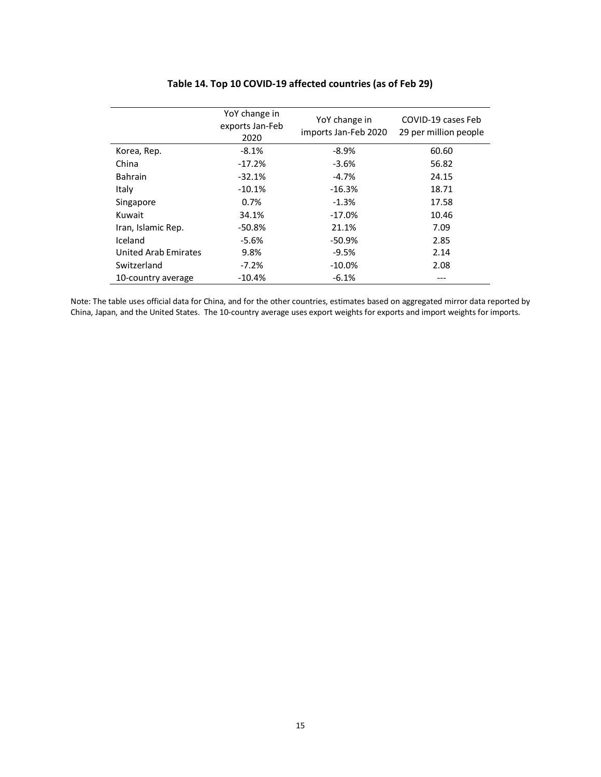|                             | YoY change in<br>exports Jan-Feb<br>2020 | YoY change in<br>imports Jan-Feb 2020 | COVID-19 cases Feb<br>29 per million people |
|-----------------------------|------------------------------------------|---------------------------------------|---------------------------------------------|
| Korea, Rep.                 | $-8.1%$                                  | $-8.9%$                               | 60.60                                       |
| China                       | $-17.2%$                                 | $-3.6%$                               | 56.82                                       |
| <b>Bahrain</b>              | $-32.1%$                                 | $-4.7%$                               | 24.15                                       |
| Italy                       | $-10.1%$                                 | $-16.3%$                              | 18.71                                       |
| Singapore                   | 0.7%                                     | $-1.3%$                               | 17.58                                       |
| Kuwait                      | 34.1%                                    | $-17.0%$                              | 10.46                                       |
| Iran, Islamic Rep.          | $-50.8%$                                 | 21.1%                                 | 7.09                                        |
| Iceland                     | $-5.6%$                                  | $-50.9%$                              | 2.85                                        |
| <b>United Arab Emirates</b> | 9.8%                                     | $-9.5%$                               | 2.14                                        |
| Switzerland                 | $-7.2%$                                  | $-10.0\%$                             | 2.08                                        |
| 10-country average          | $-10.4\%$                                | $-6.1%$                               |                                             |

# **Table 14. Top 10 COVID-19 affected countries (as of Feb 29)**

Note: The table uses official data for China, and for the other countries, estimates based on aggregated mirror data reported by China, Japan, and the United States. The 10-country average uses export weights for exports and import weights for imports.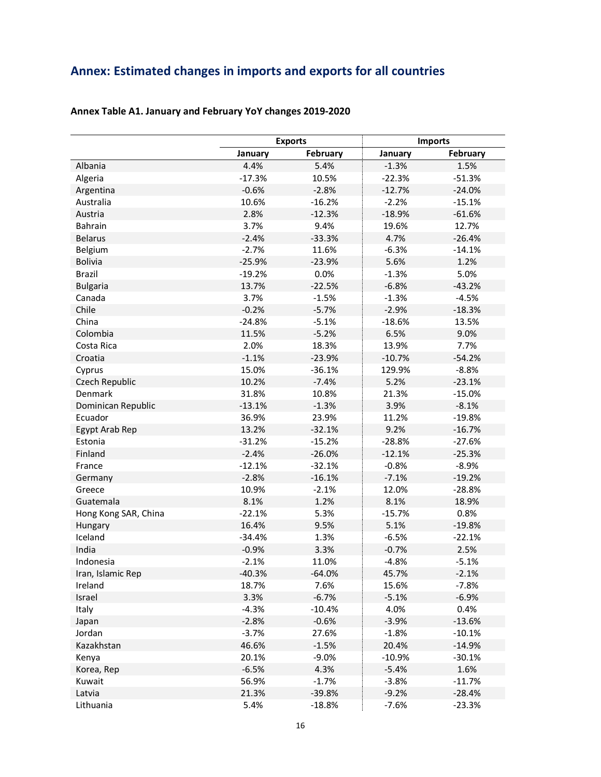# **Annex: Estimated changes in imports and exports for all countries**

|                      |          | <b>Exports</b> |          | <b>Imports</b> |
|----------------------|----------|----------------|----------|----------------|
|                      | January  | February       | January  | February       |
| Albania              | 4.4%     | 5.4%           | $-1.3%$  | 1.5%           |
| Algeria              | $-17.3%$ | 10.5%          | $-22.3%$ | $-51.3%$       |
| Argentina            | $-0.6%$  | $-2.8%$        | $-12.7%$ | $-24.0%$       |
| Australia            | 10.6%    | $-16.2%$       | $-2.2%$  | $-15.1%$       |
| Austria              | 2.8%     | $-12.3%$       | $-18.9%$ | $-61.6%$       |
| <b>Bahrain</b>       | 3.7%     | 9.4%           | 19.6%    | 12.7%          |
| <b>Belarus</b>       | $-2.4%$  | $-33.3%$       | 4.7%     | $-26.4%$       |
| Belgium              | $-2.7%$  | 11.6%          | $-6.3%$  | $-14.1%$       |
| <b>Bolivia</b>       | $-25.9%$ | $-23.9%$       | 5.6%     | 1.2%           |
| <b>Brazil</b>        | $-19.2%$ | 0.0%           | $-1.3%$  | 5.0%           |
| <b>Bulgaria</b>      | 13.7%    | $-22.5%$       | $-6.8%$  | $-43.2%$       |
| Canada               | 3.7%     | $-1.5%$        | $-1.3%$  | $-4.5%$        |
| Chile                | $-0.2%$  | $-5.7%$        | $-2.9%$  | $-18.3%$       |
| China                | $-24.8%$ | $-5.1%$        | $-18.6%$ | 13.5%          |
| Colombia             | 11.5%    | $-5.2%$        | 6.5%     | 9.0%           |
| Costa Rica           | 2.0%     | 18.3%          | 13.9%    | 7.7%           |
| Croatia              | $-1.1%$  | $-23.9%$       | $-10.7%$ | $-54.2%$       |
| Cyprus               | 15.0%    | $-36.1%$       | 129.9%   | $-8.8%$        |
| Czech Republic       | 10.2%    | $-7.4%$        | 5.2%     | $-23.1%$       |
| Denmark              | 31.8%    | 10.8%          | 21.3%    | $-15.0%$       |
| Dominican Republic   | $-13.1%$ | $-1.3%$        | 3.9%     | $-8.1%$        |
| Ecuador              | 36.9%    | 23.9%          | 11.2%    | $-19.8%$       |
| Egypt Arab Rep       | 13.2%    | $-32.1%$       | 9.2%     | $-16.7%$       |
| Estonia              | $-31.2%$ | $-15.2%$       | $-28.8%$ | $-27.6%$       |
| Finland              | $-2.4%$  | $-26.0%$       | $-12.1%$ | $-25.3%$       |
| France               | $-12.1%$ | $-32.1%$       | $-0.8%$  | $-8.9%$        |
| Germany              | $-2.8%$  | $-16.1%$       | $-7.1%$  | $-19.2%$       |
| Greece               | 10.9%    | $-2.1%$        | 12.0%    | $-28.8%$       |
| Guatemala            | 8.1%     | 1.2%           | 8.1%     | 18.9%          |
| Hong Kong SAR, China | $-22.1%$ | 5.3%           | $-15.7%$ | 0.8%           |
| Hungary              | 16.4%    | 9.5%           | 5.1%     | $-19.8%$       |
| Iceland              | $-34.4%$ | 1.3%           | $-6.5%$  | $-22.1%$       |
| India                | $-0.9%$  | 3.3%           | $-0.7%$  | 2.5%           |
| Indonesia            | $-2.1%$  | 11.0%          | $-4.8%$  | $-5.1%$        |
| Iran, Islamic Rep    | $-40.3%$ | $-64.0%$       | 45.7%    | $-2.1%$        |
| Ireland              | 18.7%    | 7.6%           | 15.6%    | $-7.8%$        |
| Israel               | 3.3%     | $-6.7%$        | $-5.1%$  | $-6.9%$        |
| Italy                | $-4.3%$  | $-10.4%$       | 4.0%     | 0.4%           |
| Japan                | $-2.8%$  | $-0.6%$        | $-3.9%$  | $-13.6%$       |
| Jordan               | $-3.7%$  | 27.6%          | $-1.8%$  | $-10.1%$       |
| Kazakhstan           | 46.6%    | $-1.5%$        | 20.4%    | $-14.9%$       |
| Kenya                | 20.1%    | $-9.0%$        | $-10.9%$ | $-30.1%$       |
| Korea, Rep           | $-6.5%$  | 4.3%           | $-5.4%$  | 1.6%           |
| Kuwait               | 56.9%    | $-1.7%$        | $-3.8%$  | $-11.7%$       |
| Latvia               | 21.3%    | -39.8%         | $-9.2%$  | $-28.4%$       |
|                      |          |                |          | $-23.3%$       |
| Lithuania            | 5.4%     | $-18.8%$       | $-7.6%$  |                |

# **Annex Table A1. January and February YoY changes 2019-2020**